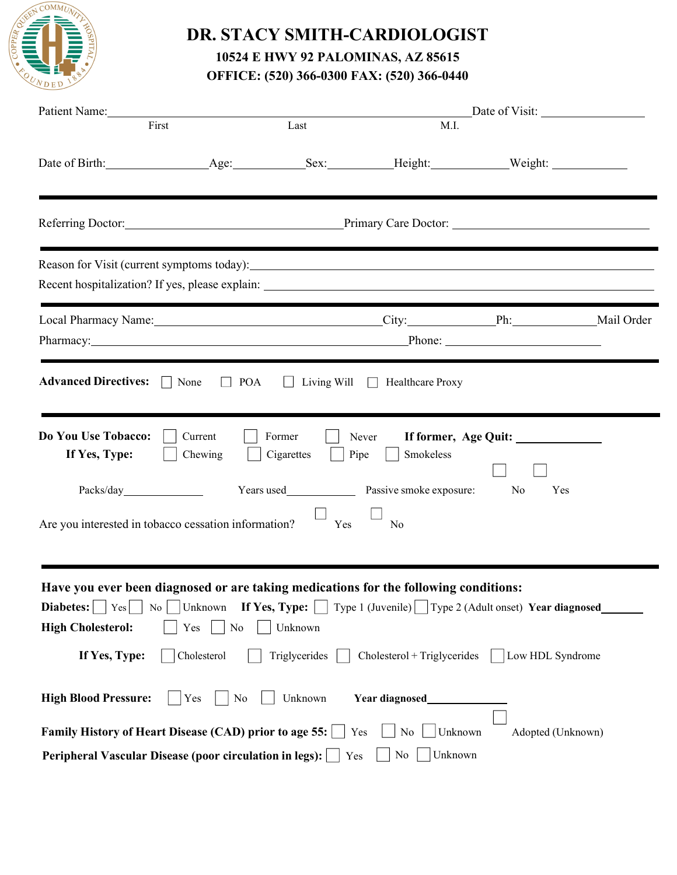

## **DR. STACY SMITH-CARDIOLOGIST 10524 E HWY 92 PALOMINAS, AZ 85615 OFFICE: (520) 366-0300 FAX: (520) 366-0440**

| Patient Name:                                                                                                                                                                                                                                                                                                |                                                                 | Date of Visit:                      |                                                  |                                                                               |  |  |  |  |
|--------------------------------------------------------------------------------------------------------------------------------------------------------------------------------------------------------------------------------------------------------------------------------------------------------------|-----------------------------------------------------------------|-------------------------------------|--------------------------------------------------|-------------------------------------------------------------------------------|--|--|--|--|
| First                                                                                                                                                                                                                                                                                                        |                                                                 | Last                                | M.I.                                             |                                                                               |  |  |  |  |
|                                                                                                                                                                                                                                                                                                              |                                                                 |                                     |                                                  |                                                                               |  |  |  |  |
| Referring Doctor: Primary Care Doctor:                                                                                                                                                                                                                                                                       |                                                                 |                                     |                                                  |                                                                               |  |  |  |  |
|                                                                                                                                                                                                                                                                                                              |                                                                 |                                     |                                                  |                                                                               |  |  |  |  |
| Local Pharmacy Name: Mail Order City: Mail Order Ph: Mail Order Mail Order<br>Pharmacy: Pharmacy: Phone: Phone: Phone: Phone: Phone: Phone: Phone: Phone: Phone: Phone: Phone: Phone: Phone: Phone: Phone: Phone: Phone: Phone: Phone: Phone: Phone: Phone: Phone: Phone: Phone: Phone: Phone: Phone: Phone: |                                                                 |                                     |                                                  |                                                                               |  |  |  |  |
| <b>Advanced Directives:</b>                                                                                                                                                                                                                                                                                  | $\Box$ POA<br>None                                              | $\perp$                             | Living Will $\Box$ Healthcare Proxy              |                                                                               |  |  |  |  |
| Do You Use Tobacco:<br>If Yes, Type:<br>Are you interested in tobacco cessation information?                                                                                                                                                                                                                 | Current<br>Chewing                                              | Former<br>Cigarettes<br>Pipe<br>Yes | Never<br>Smokeless<br>N <sub>0</sub>             | No<br>Yes                                                                     |  |  |  |  |
| Have you ever been diagnosed or are taking medications for the following conditions:<br>Diabetes:<br>Yes<br>No<br><b>High Cholesterol:</b><br>If Yes, Type:                                                                                                                                                  | Unknown If Yes, Type: $\vert \vert$<br>Yes<br>No<br>Cholesterol | Unknown<br>Triglycerides            | Cholesterol + Triglycerides                      | Type 1 (Juvenile) $ $ Type 2 (Adult onset) Year diagnosed<br>Low HDL Syndrome |  |  |  |  |
| <b>High Blood Pressure:</b><br>Family History of Heart Disease (CAD) prior to age 55:<br>Peripheral Vascular Disease (poor circulation in legs):                                                                                                                                                             | Yes<br>No                                                       | Unknown<br>Yes<br>Yes               | Year diagnosed<br>No<br>Unknown<br>Unknown<br>No | Adopted (Unknown)                                                             |  |  |  |  |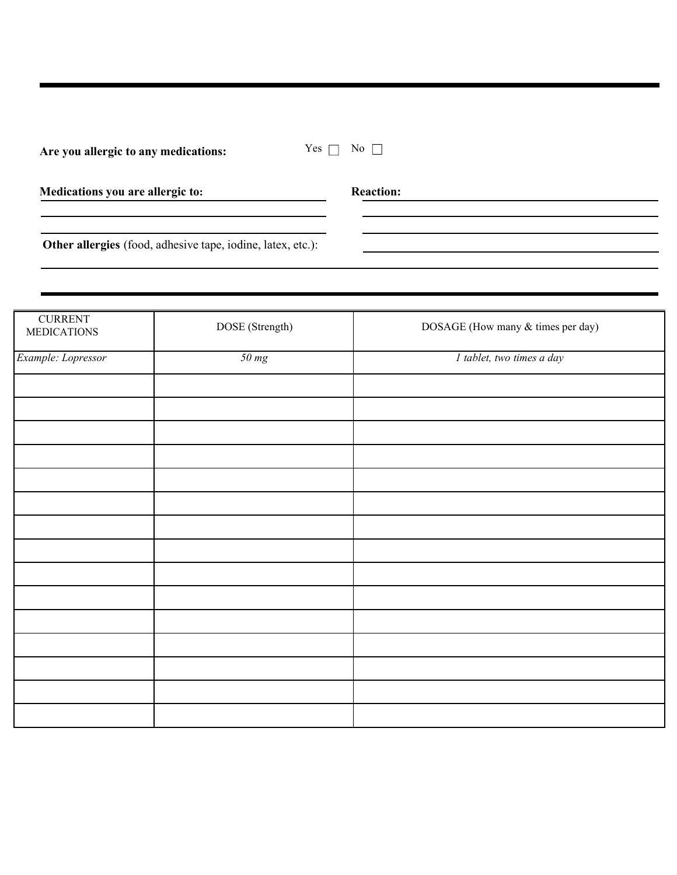| Are you allergic to any medications: |  | Yе |
|--------------------------------------|--|----|
|--------------------------------------|--|----|

| Medications you are allergic to: |  |  |
|----------------------------------|--|--|
|                                  |  |  |

**Reaction:** 

**Other allergies** (food, adhesive tape, iodine, latex, etc.):

| <b>CURRENT</b><br><b>MEDICATIONS</b> | DOSE (Strength) | DOSAGE (How many & times per day) |
|--------------------------------------|-----------------|-----------------------------------|
| Example: Lopressor                   | 50 mg           | I tablet, two times a day         |
|                                      |                 |                                   |
|                                      |                 |                                   |
|                                      |                 |                                   |
|                                      |                 |                                   |
|                                      |                 |                                   |
|                                      |                 |                                   |
|                                      |                 |                                   |
|                                      |                 |                                   |
|                                      |                 |                                   |
|                                      |                 |                                   |
|                                      |                 |                                   |
|                                      |                 |                                   |
|                                      |                 |                                   |
|                                      |                 |                                   |
|                                      |                 |                                   |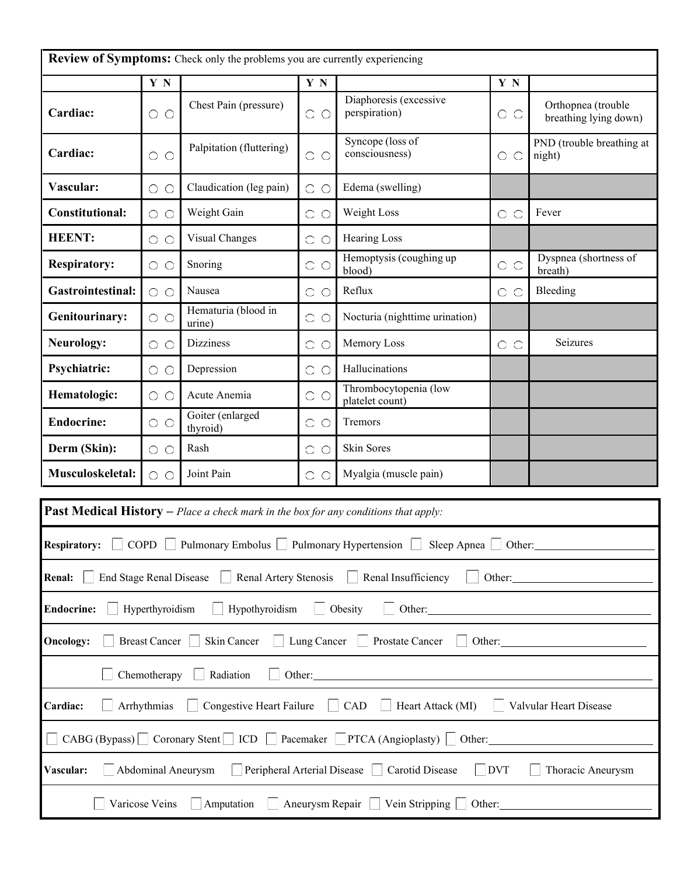| <b>Review of Symptoms:</b> Check only the problems you are currently experiencing                                     |                                                                                                                  |                                                                                              |                             |                                                                               |                                     |                                             |  |  |  |
|-----------------------------------------------------------------------------------------------------------------------|------------------------------------------------------------------------------------------------------------------|----------------------------------------------------------------------------------------------|-----------------------------|-------------------------------------------------------------------------------|-------------------------------------|---------------------------------------------|--|--|--|
| Y N<br>Y N<br>Y N                                                                                                     |                                                                                                                  |                                                                                              |                             |                                                                               |                                     |                                             |  |  |  |
| Cardiac:                                                                                                              | $\bigcirc$<br>$\circlearrowright$                                                                                | Chest Pain (pressure)                                                                        | $\bigcirc$<br>$\bigcirc$    | Diaphoresis (excessive<br>perspiration)                                       | $\circ$                             | Orthopnea (trouble<br>breathing lying down) |  |  |  |
| Cardiac:                                                                                                              | $\circ$                                                                                                          | Palpitation (fluttering)                                                                     | $\circ$                     | $\circ$                                                                       | PND (trouble breathing at<br>night) |                                             |  |  |  |
| Vascular:                                                                                                             | $\circ$                                                                                                          | Claudication (leg pain)                                                                      | Edema (swelling)<br>$\circ$ |                                                                               |                                     |                                             |  |  |  |
| <b>Constitutional:</b>                                                                                                | $\circ$                                                                                                          | Weight Gain                                                                                  | $\bigcirc$<br>$\bigcirc$    | Weight Loss                                                                   | $\circ$                             | Fever                                       |  |  |  |
| <b>HEENT:</b>                                                                                                         | $\circ$                                                                                                          | Visual Changes                                                                               | $\circ$<br>$\bigcirc$       | <b>Hearing Loss</b>                                                           |                                     |                                             |  |  |  |
| <b>Respiratory:</b>                                                                                                   | $\circ$                                                                                                          | Snoring                                                                                      | $\circ$                     | Hemoptysis (coughing up<br>blood)                                             | $\circ$                             | Dyspnea (shortness of<br>breath)            |  |  |  |
| <b>Gastrointestinal:</b>                                                                                              | $\circ$                                                                                                          | Nausea                                                                                       | $\circ$<br>$\bigcirc$       | Reflux                                                                        | $\circ$                             | Bleeding                                    |  |  |  |
| <b>Genitourinary:</b>                                                                                                 | $\circ$                                                                                                          | Hematuria (blood in<br>urine)                                                                | $\circ$ $\circ$             | Nocturia (nighttime urination)                                                |                                     |                                             |  |  |  |
| <b>Neurology:</b>                                                                                                     | $\circ$                                                                                                          | Dizziness                                                                                    | $\bigcirc$<br>$\bigcirc$    | Memory Loss                                                                   | $\circ$                             | Seizures                                    |  |  |  |
| <b>Psychiatric:</b>                                                                                                   | $\circ$                                                                                                          | Depression                                                                                   | $\circ$                     | Hallucinations                                                                |                                     |                                             |  |  |  |
| Hematologic:                                                                                                          | Thrombocytopenia (low<br>Acute Anemia<br>$\bigcirc$<br>$\bigcirc$<br>$\bigcirc$<br>$\bigcirc$<br>platelet count) |                                                                                              |                             |                                                                               |                                     |                                             |  |  |  |
| <b>Endocrine:</b>                                                                                                     | Goiter (enlarged<br>Tremors<br>$\circ$<br>$\bigcirc$<br>О<br>thyroid)                                            |                                                                                              |                             |                                                                               |                                     |                                             |  |  |  |
| Derm (Skin):                                                                                                          | $\circ$                                                                                                          | Rash                                                                                         | $\bigcirc$<br>$\bigcirc$    | <b>Skin Sores</b>                                                             |                                     |                                             |  |  |  |
| Musculoskeletal:<br>Joint Pain<br>Myalgia (muscle pain)<br>$\bigcirc$<br>$\bigcirc$<br>$\bigcirc$<br>$\bigcirc$       |                                                                                                                  |                                                                                              |                             |                                                                               |                                     |                                             |  |  |  |
|                                                                                                                       |                                                                                                                  | <b>Past Medical History</b> $-$ Place a check mark in the box for any conditions that apply: |                             |                                                                               |                                     |                                             |  |  |  |
|                                                                                                                       |                                                                                                                  |                                                                                              |                             | Respiratory: COPD Pulmonary Embolus Pulmonary Hypertension Sleep Apnea Other: |                                     |                                             |  |  |  |
| <b>End Stage Renal Disease</b><br><b>Renal:</b>                                                                       |                                                                                                                  | Renal Artery Stenosis                                                                        |                             | Renal Insufficiency                                                           | Other:                              |                                             |  |  |  |
| <b>Endocrine:</b>                                                                                                     | Hyperthyroidism                                                                                                  | Hypothyroidism                                                                               |                             | Obesity<br>Other:                                                             |                                     |                                             |  |  |  |
| <b>Oncology:</b>                                                                                                      | <b>Breast Cancer</b>                                                                                             | Skin Cancer                                                                                  | Lung Cancer                 | Prostate Cancer<br>Other:<br>$\mathbb{R}^n$                                   |                                     |                                             |  |  |  |
| Chemotherapy<br>Radiation<br>Other:                                                                                   |                                                                                                                  |                                                                                              |                             |                                                                               |                                     |                                             |  |  |  |
| Arrhythmias<br>Congestive Heart Failure<br>Cardiac:<br>CAD<br>Heart Attack (MI)<br>Valvular Heart Disease             |                                                                                                                  |                                                                                              |                             |                                                                               |                                     |                                             |  |  |  |
| CABG (Bypass) Coronary Stent   ICD   Pacemaker   PTCA (Angioplasty)   Other:                                          |                                                                                                                  |                                                                                              |                             |                                                                               |                                     |                                             |  |  |  |
| Peripheral Arterial Disease<br>$\vert$ DVT<br>Vascular:<br>Abdominal Aneurysm<br>Carotid Disease<br>Thoracic Aneurysm |                                                                                                                  |                                                                                              |                             |                                                                               |                                     |                                             |  |  |  |
|                                                                                                                       |                                                                                                                  |                                                                                              |                             |                                                                               |                                     |                                             |  |  |  |
| Varicose Veins<br>Aneurysm Repair<br>Vein Stripping<br>Amputation<br>Other:                                           |                                                                                                                  |                                                                                              |                             |                                                                               |                                     |                                             |  |  |  |